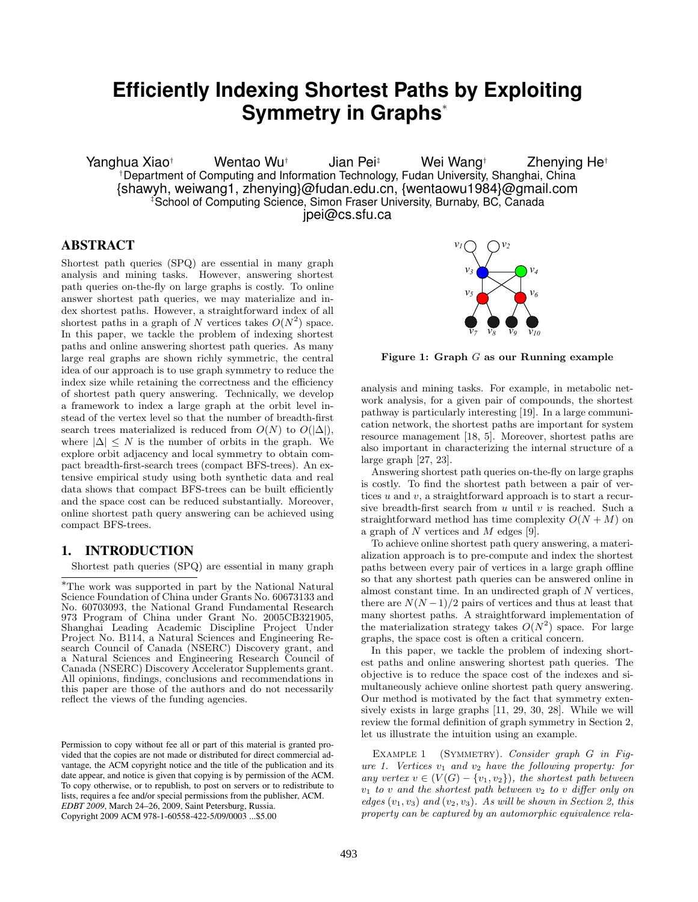# **Efficiently Indexing Shortest Paths by Exploiting Symmetry in Graphs**<sup>∗</sup>

Yanghua Xiao<sup>†</sup> Wentao Wu<sup>†</sup> Jian Pei<sup>‡</sup> Wei Wang† Zhenving He<sup>†</sup> †Department of Computing and Information Technology, Fudan University, Shanghai, China {shawyh, weiwang1, zhenying}@fudan.edu.cn, {wentaowu1984}@gmail.com ‡School of Computing Science, Simon Fraser University, Burnaby, BC, Canada jpei@cs.sfu.ca

# ABSTRACT

Shortest path queries (SPQ) are essential in many graph analysis and mining tasks. However, answering shortest path queries on-the-fly on large graphs is costly. To online answer shortest path queries, we may materialize and index shortest paths. However, a straightforward index of all shortest paths in a graph of N vertices takes  $O(N^2)$  space. In this paper, we tackle the problem of indexing shortest paths and online answering shortest path queries. As many large real graphs are shown richly symmetric, the central idea of our approach is to use graph symmetry to reduce the index size while retaining the correctness and the efficiency of shortest path query answering. Technically, we develop a framework to index a large graph at the orbit level instead of the vertex level so that the number of breadth-first search trees materialized is reduced from  $O(N)$  to  $O(|\Delta|)$ , where  $|\Delta| \leq N$  is the number of orbits in the graph. We explore orbit adjacency and local symmetry to obtain compact breadth-first-search trees (compact BFS-trees). An extensive empirical study using both synthetic data and real data shows that compact BFS-trees can be built efficiently and the space cost can be reduced substantially. Moreover, online shortest path query answering can be achieved using compact BFS-trees.

# 1. INTRODUCTION

Shortest path queries (SPQ) are essential in many graph

<sup>∗</sup>The work was supported in part by the National Natural Science Foundation of China under Grants No. 60673133 and No. 60703093, the National Grand Fundamental Research 973 Program of China under Grant No. 2005CB321905, Shanghai Leading Academic Discipline Project Under Project No. B114, a Natural Sciences and Engineering Research Council of Canada (NSERC) Discovery grant, and a Natural Sciences and Engineering Research Council of Canada (NSERC) Discovery Accelerator Supplements grant. All opinions, findings, conclusions and recommendations in this paper are those of the authors and do not necessarily reflect the views of the funding agencies.

Permission to copy without fee all or part of this material is granted provided that the copies are not made or distributed for direct commercial advantage, the ACM copyright notice and the title of the publication and its date appear, and notice is given that copying is by permission of the ACM. To copy otherwise, or to republish, to post on servers or to redistribute to lists, requires a fee and/or special permissions from the publisher, ACM. *EDBT 2009*, March 24–26, 2009, Saint Petersburg, Russia. Copyright 2009 ACM 978-1-60558-422-5/09/0003 ...\$5.00



Figure 1: Graph G as our Running example

analysis and mining tasks. For example, in metabolic network analysis, for a given pair of compounds, the shortest pathway is particularly interesting [19]. In a large communication network, the shortest paths are important for system resource management [18, 5]. Moreover, shortest paths are also important in characterizing the internal structure of a large graph [27, 23].

Answering shortest path queries on-the-fly on large graphs is costly. To find the shortest path between a pair of vertices  $u$  and  $v$ , a straightforward approach is to start a recursive breadth-first search from  $u$  until  $v$  is reached. Such a straightforward method has time complexity  $O(N + M)$  on a graph of  $N$  vertices and  $M$  edges [9].

To achieve online shortest path query answering, a materialization approach is to pre-compute and index the shortest paths between every pair of vertices in a large graph offline so that any shortest path queries can be answered online in almost constant time. In an undirected graph of  $N$  vertices, there are  $N(N-1)/2$  pairs of vertices and thus at least that many shortest paths. A straightforward implementation of the materialization strategy takes  $O(N^2)$  space. For large graphs, the space cost is often a critical concern.

In this paper, we tackle the problem of indexing shortest paths and online answering shortest path queries. The objective is to reduce the space cost of the indexes and simultaneously achieve online shortest path query answering. Our method is motivated by the fact that symmetry extensively exists in large graphs [11, 29, 30, 28]. While we will review the formal definition of graph symmetry in Section 2, let us illustrate the intuition using an example.

EXAMPLE 1 (SYMMETRY). Consider graph G in Figure 1. Vertices  $v_1$  and  $v_2$  have the following property: for any vertex  $v \in (V(G) - \{v_1, v_2\})$ , the shortest path between  $v_1$  to v and the shortest path between  $v_2$  to v differ only on edges  $(v_1, v_3)$  and  $(v_2, v_3)$ . As will be shown in Section 2, this property can be captured by an automorphic equivalence rela-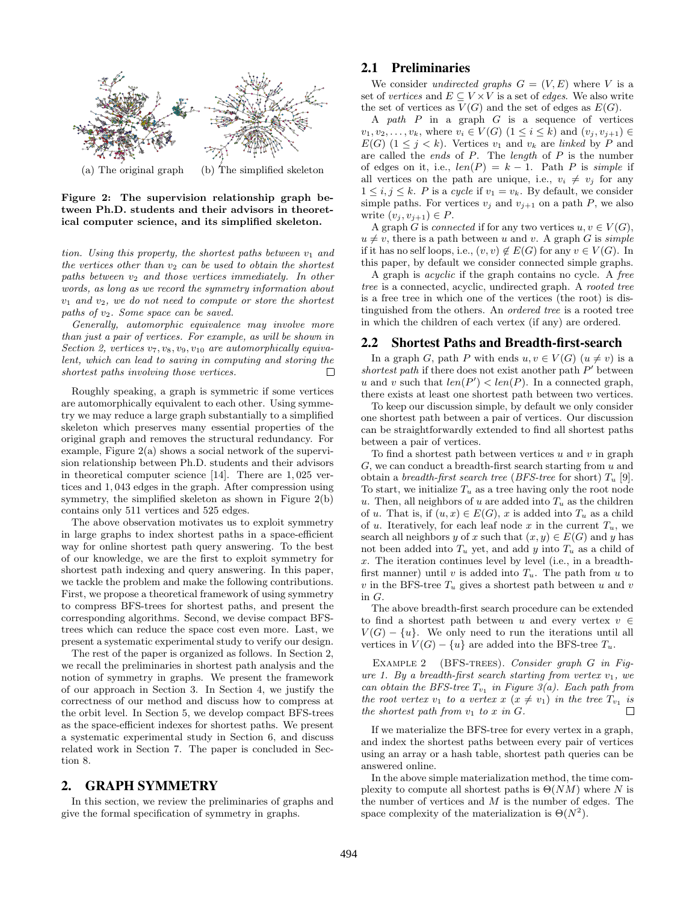

Figure 2: The supervision relationship graph between Ph.D. students and their advisors in theoretical computer science, and its simplified skeleton.

tion. Using this property, the shortest paths between  $v_1$  and the vertices other than  $v_2$  can be used to obtain the shortest paths between  $v_2$  and those vertices immediately. In other words, as long as we record the symmetry information about  $v_1$  and  $v_2$ , we do not need to compute or store the shortest paths of v2. Some space can be saved.

Generally, automorphic equivalence may involve more than just a pair of vertices. For example, as will be shown in Section 2, vertices  $v_7, v_8, v_9, v_{10}$  are automorphically equivalent, which can lead to saving in computing and storing the shortest paths involving those vertices.  $\Box$ 

Roughly speaking, a graph is symmetric if some vertices are automorphically equivalent to each other. Using symmetry we may reduce a large graph substantially to a simplified skeleton which preserves many essential properties of the original graph and removes the structural redundancy. For example, Figure 2(a) shows a social network of the supervision relationship between Ph.D. students and their advisors in theoretical computer science [14]. There are 1, 025 vertices and 1, 043 edges in the graph. After compression using symmetry, the simplified skeleton as shown in Figure 2(b) contains only 511 vertices and 525 edges.

The above observation motivates us to exploit symmetry in large graphs to index shortest paths in a space-efficient way for online shortest path query answering. To the best of our knowledge, we are the first to exploit symmetry for shortest path indexing and query answering. In this paper, we tackle the problem and make the following contributions. First, we propose a theoretical framework of using symmetry to compress BFS-trees for shortest paths, and present the corresponding algorithms. Second, we devise compact BFStrees which can reduce the space cost even more. Last, we present a systematic experimental study to verify our design.

The rest of the paper is organized as follows. In Section 2, we recall the preliminaries in shortest path analysis and the notion of symmetry in graphs. We present the framework of our approach in Section 3. In Section 4, we justify the correctness of our method and discuss how to compress at the orbit level. In Section 5, we develop compact BFS-trees as the space-efficient indexes for shortest paths. We present a systematic experimental study in Section 6, and discuss related work in Section 7. The paper is concluded in Section 8.

## 2. GRAPH SYMMETRY

In this section, we review the preliminaries of graphs and give the formal specification of symmetry in graphs.

## 2.1 Preliminaries

We consider *undirected graphs*  $G = (V, E)$  where V is a set of vertices and  $E \subseteq V \times V$  is a set of edges. We also write the set of vertices as  $V(G)$  and the set of edges as  $E(G)$ .

A path  $P$  in a graph  $G$  is a sequence of vertices  $v_1, v_2, \ldots, v_k$ , where  $v_i \in V(G)$   $(1 \leq i \leq k)$  and  $(v_i, v_{i+1}) \in$  $E(G)$   $(1 \leq j \leq k)$ . Vertices  $v_1$  and  $v_k$  are linked by P and are called the *ends* of  $P$ . The *length* of  $P$  is the number of edges on it, i.e.,  $len(P) = k - 1$ . Path P is simple if all vertices on the path are unique, i.e.,  $v_i \neq v_j$  for any  $1 \leq i, j \leq k$ . P is a cycle if  $v_1 = v_k$ . By default, we consider simple paths. For vertices  $v_i$  and  $v_{i+1}$  on a path P, we also write  $(v_i, v_{i+1}) \in P$ .

A graph G is connected if for any two vertices  $u, v \in V(G)$ ,  $u \neq v$ , there is a path between u and v. A graph G is simple if it has no self loops, i.e.,  $(v, v) \notin E(G)$  for any  $v \in V(G)$ . In this paper, by default we consider connected simple graphs.

A graph is acyclic if the graph contains no cycle. A free tree is a connected, acyclic, undirected graph. A rooted tree is a free tree in which one of the vertices (the root) is distinguished from the others. An ordered tree is a rooted tree in which the children of each vertex (if any) are ordered.

#### 2.2 Shortest Paths and Breadth-first-search

In a graph G, path P with ends  $u, v \in V(G)$   $(u \neq v)$  is a shortest path if there does not exist another path  $P'$  between u and v such that  $len(P') < len(P)$ . In a connected graph, there exists at least one shortest path between two vertices.

To keep our discussion simple, by default we only consider one shortest path between a pair of vertices. Our discussion can be straightforwardly extended to find all shortest paths between a pair of vertices.

To find a shortest path between vertices  $u$  and  $v$  in graph  $G$ , we can conduct a breadth-first search starting from  $u$  and obtain a breadth-first search tree (BFS-tree for short)  $T_u$  [9]. To start, we initialize  $T_u$  as a tree having only the root node u. Then, all neighbors of u are added into  $T_u$  as the children of u. That is, if  $(u, x) \in E(G)$ , x is added into  $T_u$  as a child of u. Iteratively, for each leaf node x in the current  $T_u$ , we search all neighbors y of x such that  $(x, y) \in E(G)$  and y has not been added into  $T_u$  yet, and add y into  $T_u$  as a child of  $x$ . The iteration continues level by level (i.e., in a breadthfirst manner) until v is added into  $T_u$ . The path from u to v in the BFS-tree  $T_u$  gives a shortest path between u and v in G.

The above breadth-first search procedure can be extended to find a shortest path between u and every vertex  $v \in$  $V(G) - \{u\}$ . We only need to run the iterations until all vertices in  $V(G) - \{u\}$  are added into the BFS-tree  $T_u$ .

EXAMPLE 2 (BFS-TREES). Consider graph G in Figure 1. By a breadth-first search starting from vertex  $v_1$ , we can obtain the BFS-tree  $T_{v_1}$  in Figure 3(a). Each path from the root vertex  $v_1$  to a vertex  $x (x \neq v_1)$  in the tree  $T_{v_1}$  is the shortest path from  $v_1$  to x in  $G$ . П

If we materialize the BFS-tree for every vertex in a graph, and index the shortest paths between every pair of vertices using an array or a hash table, shortest path queries can be answered online.

In the above simple materialization method, the time complexity to compute all shortest paths is  $\Theta(NM)$  where N is the number of vertices and  $M$  is the number of edges. The space complexity of the materialization is  $\Theta(N^2)$ .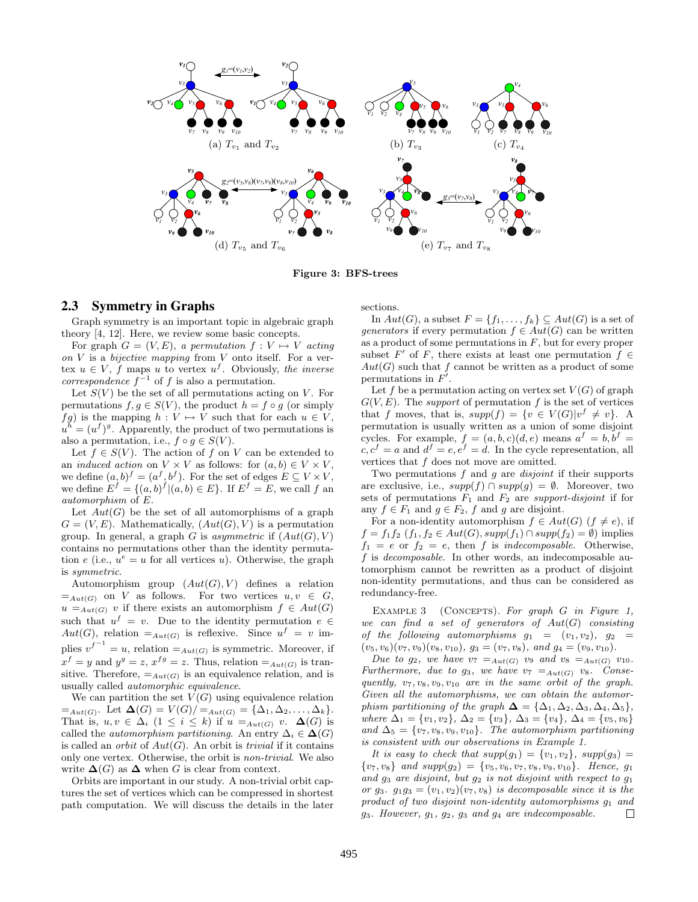

Figure 3: BFS-trees

## 2.3 Symmetry in Graphs

Graph symmetry is an important topic in algebraic graph theory [4, 12]. Here, we review some basic concepts.

For graph  $G = (V, E)$ , a permutation  $f : V \mapsto V$  acting on  $V$  is a bijective mapping from  $V$  onto itself. For a vertex  $u \in V$ , f maps u to vertex  $u^f$ . Obviously, the inverse correspondence  $f^{-1}$  of f is also a permutation.

Let  $S(V)$  be the set of all permutations acting on V. For permutations  $f, g \in S(V)$ , the product  $h = f \circ g$  (or simply fg) is the mapping  $h: V \mapsto V$  such that for each  $u \in V$ ,  $u^h = (u^f)^g$ . Apparently, the product of two permutations is also a permutation, i.e.,  $f \circ g \in S(V)$ .

Let  $f \in S(V)$ . The action of f on V can be extended to an *induced action* on  $V \times V$  as follows: for  $(a, b) \in V \times V$ , we define  $(a, b)^f = (a^f, b^f)$ . For the set of edges  $E \subseteq V \times V$ , we define  $E^f = \{(a, b)^f | (a, b) \in E\}$ . If  $E^f = E$ , we call f an automorphism of E.

Let  $Aut(G)$  be the set of all automorphisms of a graph  $G = (V, E)$ . Mathematically,  $(Aut(G), V)$  is a permutation group. In general, a graph G is asymmetric if  $(Aut(G), V)$ contains no permutations other than the identity permutation e (i.e.,  $u^e = u$  for all vertices u). Otherwise, the graph is symmetric.

Automorphism group  $(Aut(G), V)$  defines a relation  $=$ <sub>Aut(G)</sub> on V as follows. For two vertices  $u, v \in G$ ,  $u =_{Aut(G)} v$  if there exists an automorphism  $f \in Aut(G)$ such that  $u^f = v$ . Due to the identity permutation  $e \in$  $Aut(G)$ , relation  $=_{Aut(G)}$  is reflexive. Since  $u^f = v$  implies  $v^{f^{-1}} = u$ , relation  $=_{Aut(G)}$  is symmetric. Moreover, if  $x^f = y$  and  $y^g = z$ ,  $x^{fg} = z$ . Thus, relation  $=_{Aut(G)}$  is transitive. Therefore,  $=_{Aut(G)}$  is an equivalence relation, and is usually called automorphic equivalence.

We can partition the set  $V(G)$  using equivalence relation  $=_{Aut(G)}$ . Let  $\Delta(G) = V(G)/=_{Aut(G)} = {\Delta_1, \Delta_2, ..., \Delta_k}.$ That is,  $u, v \in \Delta_i$   $(1 \leq i \leq k)$  if  $u =_{Aut(G)} v$ .  $\Delta(G)$  is called the *automorphism partitioning*. An entry  $\Delta_i \in \Delta(G)$ is called an *orbit* of  $Aut(G)$ . An orbit is *trivial* if it contains only one vertex. Otherwise, the orbit is non-trivial. We also write  $\Delta(G)$  as  $\Delta$  when G is clear from context.

Orbits are important in our study. A non-trivial orbit captures the set of vertices which can be compressed in shortest path computation. We will discuss the details in the later sections.

In  $Aut(G)$ , a subset  $F = \{f_1, \ldots, f_k\} \subseteq Aut(G)$  is a set of generators if every permutation  $f \in Aut(G)$  can be written as a product of some permutations in  $F$ , but for every proper subset F' of F, there exists at least one permutation  $f \in$  $Aut(G)$  such that f cannot be written as a product of some permutations in  $F'$ .

Let f be a permutation acting on vertex set  $V(G)$  of graph  $G(V, E)$ . The *support* of permutation f is the set of vertices that f moves, that is,  $supp(f) = \{v \in V(G)|v^f \neq v\}$ . A permutation is usually written as a union of some disjoint cycles. For example,  $f = (a, b, c)(d, e)$  means  $a^f = b, b^f =$  $c, c<sup>f</sup> = a$  and  $d<sup>f</sup> = e, e<sup>f</sup> = d$ . In the cycle representation, all vertices that  $f$  does not move are omitted.

Two permutations  $f$  and  $g$  are *disjoint* if their supports are exclusive, i.e.,  $supp(f) \cap supp(g) = \emptyset$ . Moreover, two sets of permutations  $F_1$  and  $F_2$  are support-disjoint if for any  $f \in F_1$  and  $g \in F_2$ , f and g are disjoint.

For a non-identity automorphism  $f \in Aut(G)$   $(f \neq e)$ , if  $f = f_1 f_2$   $(f_1, f_2 \in Aut(G), supp(f_1) \cap supp(f_2) = \emptyset)$  implies  $f_1 = e$  or  $f_2 = e$ , then f is *indecomposable*. Otherwise, f is decomposable. In other words, an indecomposable automorphism cannot be rewritten as a product of disjoint non-identity permutations, and thus can be considered as redundancy-free.

EXAMPLE 3 (CONCEPTS). For graph  $G$  in Figure 1, we can find a set of generators of  $Aut(G)$  consisting of the following automorphisms  $g_1 = (v_1, v_2), g_2 =$  $(v_5, v_6)(v_7, v_9)(v_8, v_{10}), g_3 = (v_7, v_8), \text{ and } g_4 = (v_9, v_{10}).$ 

Due to  $g_2$ , we have  $v_7 =_{Aut(G)} v_9$  and  $v_8 =_{Aut(G)} v_{10}$ . Furthermore, due to  $g_3$ , we have  $v_7 =_{Aut(G)} v_8$ . Consequently,  $v_7, v_8, v_9, v_{10}$  are in the same orbit of the graph. Given all the automorphisms, we can obtain the automorphism partitioning of the graph  $\Delta = {\Delta_1, \Delta_2, \Delta_3, \Delta_4, \Delta_5}$ , where  $\Delta_1 = \{v_1, v_2\}, \Delta_2 = \{v_3\}, \Delta_3 = \{v_4\}, \Delta_4 = \{v_5, v_6\}$ and  $\Delta_5 = \{v_7, v_8, v_9, v_{10}\}.$  The automorphism partitioning is consistent with our observations in Example 1.

It is easy to check that  $supp(g_1) = \{v_1, v_2\}$ ,  $supp(g_3) =$  $\{v_7, v_8\}$  and  $supp(q_2) = \{v_5, v_6, v_7, v_8, v_9, v_{10}\}.$  Hence,  $q_1$ and  $g_3$  are disjoint, but  $g_2$  is not disjoint with respect to  $g_1$ or  $g_3$ .  $g_1g_3 = (v_1, v_2)(v_7, v_8)$  is decomposable since it is the product of two disjoint non-identity automorphisms  $q_1$  and  $g_3$ . However,  $g_1$ ,  $g_2$ ,  $g_3$  and  $g_4$  are indecomposable.  $\Box$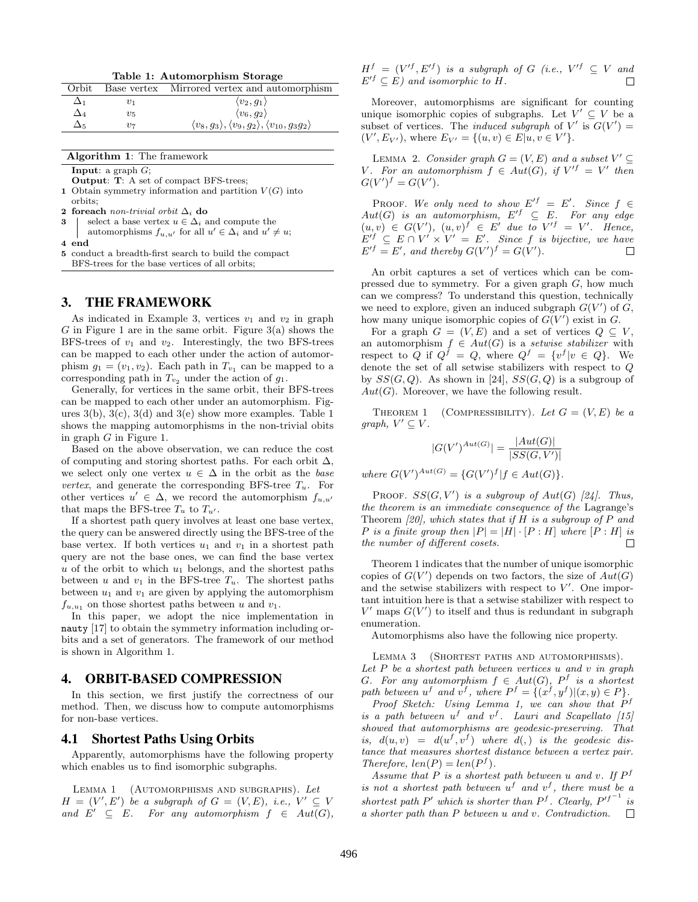Table 1: Automorphism Storage

| Orbit       |         | Base vertex Mirrored vertex and automorphism                                          |
|-------------|---------|---------------------------------------------------------------------------------------|
|             | $v_{1}$ | $\langle v_2, g_1 \rangle$                                                            |
| $\Delta_4$  | $v_{5}$ | $\langle v_6, g_2 \rangle$                                                            |
| $\Delta$ 5. | 217     | $\langle v_8, g_3 \rangle, \langle v_9, g_2 \rangle, \langle v_{10}, g_3 g_2 \rangle$ |

| Algorithm 1: The framework |  |  |  |
|----------------------------|--|--|--|
|----------------------------|--|--|--|

**Input:** a graph  $G$ ;

Output: T: A set of compact BFS-trees;

- 1 Obtain symmetry information and partition  $V(G)$  into orbits;
- 2 foreach non-trivial orbit  $\Delta_i$  do
- 3 select a base vertex  $u \in \Delta_i$  and compute the
- automorphisms  $f_{u,u'}$  for all  $u' \in \Delta_i$  and  $u' \neq u$ ; 4 end
- 5 conduct a breadth-first search to build the compact BFS-trees for the base vertices of all orbits;

#### 3. THE FRAMEWORK

As indicated in Example 3, vertices  $v_1$  and  $v_2$  in graph G in Figure 1 are in the same orbit. Figure  $3(a)$  shows the BFS-trees of  $v_1$  and  $v_2$ . Interestingly, the two BFS-trees can be mapped to each other under the action of automorphism  $g_1 = (v_1, v_2)$ . Each path in  $T_{v_1}$  can be mapped to a corresponding path in  $T_{v_2}$  under the action of  $g_1$ .

Generally, for vertices in the same orbit, their BFS-trees can be mapped to each other under an automorphism. Figures  $3(b)$ ,  $3(c)$ ,  $3(d)$  and  $3(e)$  show more examples. Table 1 shows the mapping automorphisms in the non-trivial obits in graph  $G$  in Figure 1.

Based on the above observation, we can reduce the cost of computing and storing shortest paths. For each orbit  $\Delta$ , we select only one vertex  $u \in \Delta$  in the orbit as the base vertex, and generate the corresponding BFS-tree  $T_u$ . For other vertices  $u' \in \Delta$ , we record the automorphism  $f_{u,u'}$ that maps the BFS-tree  $T_u$  to  $T_{u'}$ .

If a shortest path query involves at least one base vertex, the query can be answered directly using the BFS-tree of the base vertex. If both vertices  $u_1$  and  $v_1$  in a shortest path query are not the base ones, we can find the base vertex  $u$  of the orbit to which  $u_1$  belongs, and the shortest paths between u and  $v_1$  in the BFS-tree  $T_u$ . The shortest paths between  $u_1$  and  $v_1$  are given by applying the automorphism  $f_{u,u_1}$  on those shortest paths between u and  $v_1$ .

In this paper, we adopt the nice implementation in nauty [17] to obtain the symmetry information including orbits and a set of generators. The framework of our method is shown in Algorithm 1.

#### 4. ORBIT-BASED COMPRESSION

In this section, we first justify the correctness of our method. Then, we discuss how to compute automorphisms for non-base vertices.

#### 4.1 Shortest Paths Using Orbits

Apparently, automorphisms have the following property which enables us to find isomorphic subgraphs.

LEMMA 1 (AUTOMORPHISMS AND SUBGRAPHS). Let  $H = (V', E')$  be a subgraph of  $G = (V, E)$ , i.e.,  $V' \subseteq V$ and  $E' \subseteq E$ . For any automorphism  $f \in Aut(G)$ ,  $H<sup>f</sup> = (V'<sup>f</sup>, E'<sup>f</sup>)$  is a subgraph of G (i.e.,  $V'<sup>f</sup> \subseteq V$  and  $E'^f \subseteq E$ ) and isomorphic to H. П

Moreover, automorphisms are significant for counting unique isomorphic copies of subgraphs. Let  $V' \subseteq V$  be a subset of vertices. The *induced subgraph* of  $V'$  is  $G(V') =$  $(V', E_{V'})$ , where  $E_{V'} = \{(u, v) \in E | u, v \in V'\}.$ 

LEMMA 2. Consider graph  $G = (V, E)$  and a subset  $V' \subseteq$ V. For an automorphism  $f \in Aut(G)$ , if  $V' = V'$  then  $G(V')^f = G(V')$ .

**PROOF.** We only need to show  $E^{f} = E'$ . Since  $f \in$  $Aut(G)$  is an automorphism,  $E'^f \subseteq E$ . For any edge  $(u, v) \in G(V'), (u, v)^f \in E'$  due to  $V' = V'.$  Hence,  $E'$ <sup>f</sup>  $\subseteq E \cap V' \times V' = E'$ . Since f is bijective, we have  $E'$ <sup>f</sup> = E', and thereby  $G(V')$ <sup>f</sup> =  $G(V')$ .

An orbit captures a set of vertices which can be compressed due to symmetry. For a given graph G, how much can we compress? To understand this question, technically we need to explore, given an induced subgraph  $G(V')$  of  $G$ , how many unique isomorphic copies of  $G(V')$  exist in G.

For a graph  $G = (V, E)$  and a set of vertices  $Q \subseteq V$ . an automorphism  $f \in Aut(G)$  is a setwise stabilizer with respect to Q if  $Q^f = Q$ , where  $Q^f = \{v^f | v \in Q\}$ . We denote the set of all setwise stabilizers with respect to Q by  $SS(G, Q)$ . As shown in [24],  $SS(G, Q)$  is a subgroup of  $Aut(G)$ . Moreover, we have the following result.

THEOREM 1 (COMPRESSIBILITY). Let  $G = (V, E)$  be a graph,  $V' \subseteq V$ .

$$
|G(V')^{Aut(G)}| = \frac{|Aut(G)|}{|SS(G,V')|}
$$

where  $G(V')^{Aut(G)} = \{G(V')^f | f \in Aut(G)\}.$ 

PROOF.  $SS(G, V')$  is a subgroup of  $Aut(G)$  [24]. Thus, the theorem is an immediate consequence of the Lagrange's Theorem  $[20]$ , which states that if H is a subgroup of P and P is a finite group then  $|P| = |H| \cdot [P : H]$  where  $[P : H]$  is the number of different cosets. П

Theorem 1 indicates that the number of unique isomorphic copies of  $G(V')$  depends on two factors, the size of  $Aut(G)$ and the setwise stabilizers with respect to  $V'$ . One important intuition here is that a setwise stabilizer with respect to  $V'$  maps  $G(V')$  to itself and thus is redundant in subgraph enumeration.

Automorphisms also have the following nice property.

LEMMA 3 (SHORTEST PATHS AND AUTOMORPHISMS). Let  $P$  be a shortest path between vertices  $u$  and  $v$  in graph G. For any automorphism  $f \in Aut(G)$ ,  $P^f$  is a shortest path between  $u^f$  and  $v^f$ , where  $P^f = \{(x^f, y^f) | (x, y) \in P\}.$ 

Proof Sketch: Using Lemma 1, we can show that  $P<sup>f</sup>$ is a path between  $u^f$  and  $v^f$ . Lauri and Scapellato [15] showed that automorphisms are geodesic-preserving. That is,  $d(u, v) = d(u^f, v^f)$  where  $d($ , is the geodesic distance that measures shortest distance between a vertex pair. Therefore,  $len(P) = len(P^f)$ .

Assume that  $P$  is a shortest path between u and v. If  $P<sup>f</sup>$ is not a shortest path between  $u^f$  and  $v^f$ , there must be a shortest path P' which is shorter than  $P<sup>f</sup>$ . Clearly,  $P<sup>f<sup>-1</sup></sup>$  is a shorter path than P between u and v. Contradiction.  $\Box$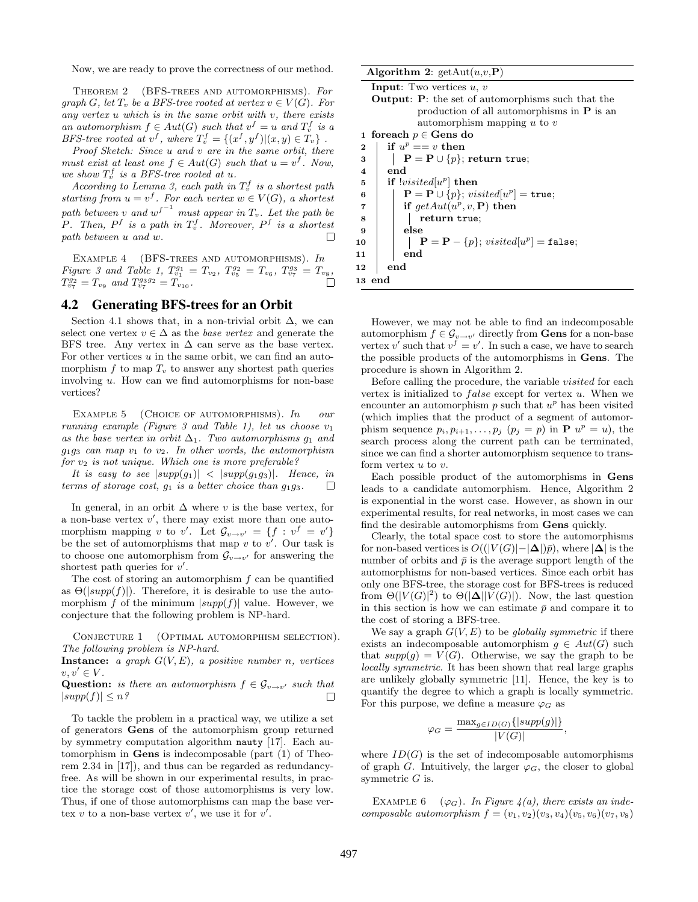Now, we are ready to prove the correctness of our method.

Theorem 2 (BFS-trees and automorphisms). For graph G, let  $T_v$  be a BFS-tree rooted at vertex  $v \in V(G)$ . For  $any$  vertex  $u$  which is in the same orbit with  $v$ , there exists an automorphism  $f \in Aut(G)$  such that  $v^f = u$  and  $T_v^f$  is a BFS-tree rooted at  $v^f$ , where  $T_v^f = \{(x^f, y^f) | (x, y) \in T_v\}$ .

Proof Sketch: Since u and v are in the same orbit, there must exist at least one  $f \in Aut(G)$  such that  $u = v^f$ . Now, we show  $T_v^f$  is a BFS-tree rooted at u.

According to Lemma 3, each path in  $T_v^f$  is a shortest path starting from  $u = v^f$ . For each vertex  $w \in V(G)$ , a shortest path between v and  $w^{f^{-1}}$  must appear in  $T_v$ . Let the path be P. Then,  $P^f$  is a path in  $T_v^f$ . Moreover,  $P^f$  is a shortest path between u and w.  $\Box$ 

EXAMPLE 4 (BFS-TREES AND AUTOMORPHISMS).  $In$ Figure 3 and Table 1,  $T_{v_1}^{g_1} = T_{v_2}$ ,  $T_{v_5}^{g_2} = T_{v_6}$ ,  $T_{v_7}^{g_3} = T_{v_8}$ ,  $T_{v_7}^{g_2} = T_{v_9}$  and  $T_{v_7}^{g_3 g_2} = T_{v_{10}}$ .

#### 4.2 Generating BFS-trees for an Orbit

Section 4.1 shows that, in a non-trivial orbit  $\Delta$ , we can select one vertex  $v \in \Delta$  as the *base vertex* and generate the BFS tree. Any vertex in  $\Delta$  can serve as the base vertex. For other vertices  $u$  in the same orbit, we can find an automorphism  $f$  to map  $T_v$  to answer any shortest path queries involving u. How can we find automorphisms for non-base vertices?

EXAMPLE 5 (CHOICE OF AUTOMORPHISMS).  $In$  our running example (Figure 3 and Table 1), let us choose  $v_1$ as the base vertex in orbit  $\Delta_1$ . Two automorphisms  $g_1$  and  $g_1g_3$  can map  $v_1$  to  $v_2$ . In other words, the automorphism for  $v_2$  is not unique. Which one is more preferable?

It is easy to see  $|supp(g_1)| < |supp(g_1g_3)|$ . Hence, in terms of storage cost,  $g_1$  is a better choice than  $g_1g_3$ . □

In general, in an orbit  $\Delta$  where v is the base vertex, for a non-base vertex  $v'$ , there may exist more than one automorphism mapping v to v'. Let  $\mathcal{G}_{v \to v'} = \{f : v^f = v'\}$ be the set of automorphisms that map  $v$  to  $v'$ . Our task is to choose one automorphism from  $\mathcal{G}_{v \to v'}$  for answering the shortest path queries for  $v'$ .

The cost of storing an automorphism f can be quantified as  $\Theta(|supp(f)|)$ . Therefore, it is desirable to use the automorphism f of the minimum  $|supp(f)|$  value. However, we conjecture that the following problem is NP-hard.

CONJECTURE 1 (OPTIMAL AUTOMORPHISM SELECTION). The following problem is NP-hard.

**Instance:** a graph  $G(V, E)$ , a positive number n, vertices  $v, v' \in V$ .

**Question:** is there an automorphism  $f \in \mathcal{G}_{v \to v'}$  such that  $|supp(f)| \leq n$ ? □

To tackle the problem in a practical way, we utilize a set of generators Gens of the automorphism group returned by symmetry computation algorithm nauty [17]. Each automorphism in Gens is indecomposable (part (1) of Theorem 2.34 in [17]), and thus can be regarded as redundancyfree. As will be shown in our experimental results, in practice the storage cost of those automorphisms is very low. Thus, if one of those automorphisms can map the base vertex v to a non-base vertex v', we use it for  $v'$ .

|  | Algorithm 2: $getAut(u,v,P)$ |  |  |  |  |
|--|------------------------------|--|--|--|--|
|--|------------------------------|--|--|--|--|

However, we may not be able to find an indecomposable automorphism  $f \in \mathcal{G}_{v \to v'}$  directly from **Gens** for a non-base vertex v' such that  $v^f = v'$ . In such a case, we have to search the possible products of the automorphisms in Gens. The procedure is shown in Algorithm 2.

Before calling the procedure, the variable visited for each vertex is initialized to  $false$  except for vertex  $u$ . When we encounter an automorphism  $p$  such that  $u^p$  has been visited (which implies that the product of a segment of automorphism sequence  $p_i, p_{i+1}, \ldots, p_j$   $(p_j = p)$  in **P**  $u^p = u$ , the search process along the current path can be terminated, since we can find a shorter automorphism sequence to transform vertex  $u$  to  $v$ .

Each possible product of the automorphisms in Gens leads to a candidate automorphism. Hence, Algorithm 2 is exponential in the worst case. However, as shown in our experimental results, for real networks, in most cases we can find the desirable automorphisms from Gens quickly.

Clearly, the total space cost to store the automorphisms for non-based vertices is  $O((|V(G)|-|\Delta|)\bar{p})$ , where  $|\Delta|$  is the number of orbits and  $\bar{p}$  is the average support length of the automorphisms for non-based vertices. Since each orbit has only one BFS-tree, the storage cost for BFS-trees is reduced from  $\Theta(|V(G)|^2)$  to  $\Theta(|\Delta||V(G)|)$ . Now, the last question in this section is how we can estimate  $\bar{p}$  and compare it to the cost of storing a BFS-tree.

We say a graph  $G(V, E)$  to be globally symmetric if there exists an indecomposable automorphism  $g \in Aut(G)$  such that  $supp(g) = V(G)$ . Otherwise, we say the graph to be locally symmetric. It has been shown that real large graphs are unlikely globally symmetric [11]. Hence, the key is to quantify the degree to which a graph is locally symmetric. For this purpose, we define a measure  $\varphi_G$  as

$$
\varphi_G = \frac{\max_{g \in ID(G)}\{|supp(g)|\}}{|V(G)|},
$$

where  $ID(G)$  is the set of indecomposable automorphisms of graph G. Intuitively, the larger  $\varphi_G$ , the closer to global symmetric  $G$  is.

EXAMPLE 6 ( $\varphi_G$ ). In Figure 4(a), there exists an indecomposable automorphism  $f = (v_1, v_2)(v_3, v_4)(v_5, v_6)(v_7, v_8)$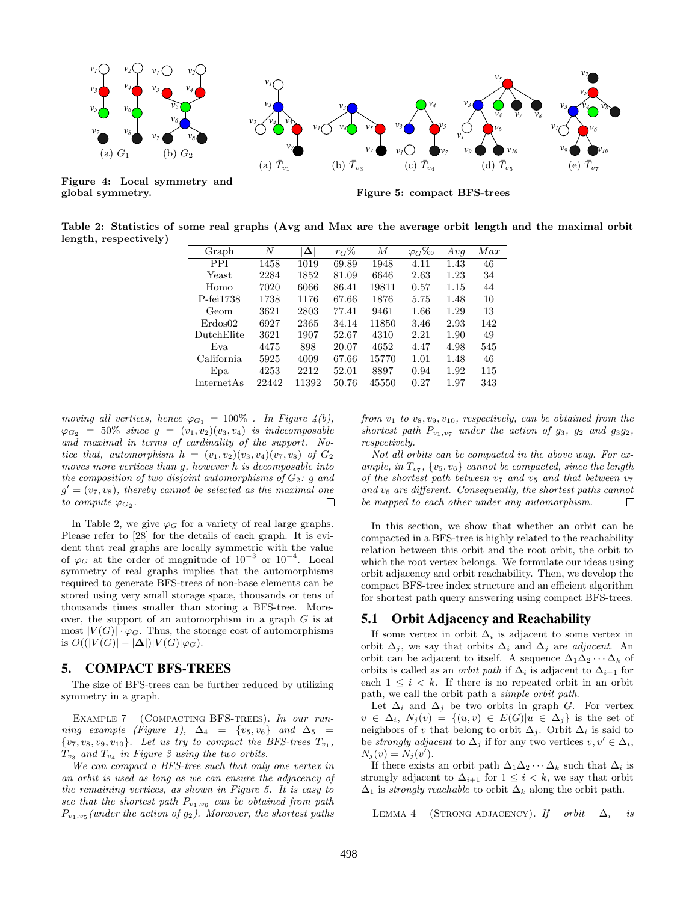

Figure 4: Local symmetry and global symmetry.

Figure 5: compact BFS-trees

Table 2: Statistics of some real graphs (Avg and Max are the average orbit length and the maximal orbit length, respectively)

| Graph             | N     | $\Delta$ | $r_G\%$ | М     | $\varphi_G\%_0$ | Avq  | Max |
|-------------------|-------|----------|---------|-------|-----------------|------|-----|
| <b>PPI</b>        | 1458  | 1019     | 69.89   | 1948  | 4.11            | 1.43 | 46  |
| Yeast             | 2284  | 1852     | 81.09   | 6646  | 2.63            | 1.23 | 34  |
| Homo              | 7020  | 6066     | 86.41   | 19811 | 0.57            | 1.15 | 44  |
| P-fei1738         | 1738  | 1176     | 67.66   | 1876  | 5.75            | 1.48 | 10  |
| Geom              | 3621  | 2803     | 77.41   | 9461  | 1.66            | 1.29 | 13  |
| Erdos02           | 6927  | 2365     | 34.14   | 11850 | 3.46            | 2.93 | 142 |
| DutchElite        | 3621  | 1907     | 52.67   | 4310  | 2.21            | 1.90 | 49  |
| Eva               | 4475  | 898      | 20.07   | 4652  | 4.47            | 4.98 | 545 |
| California        | 5925  | 4009     | 67.66   | 15770 | 1.01            | 1.48 | 46  |
| Epa               | 4253  | 2212     | 52.01   | 8897  | 0.94            | 1.92 | 115 |
| <b>InternetAs</b> | 22442 | 11392    | 50.76   | 45550 | 0.27            | 1.97 | 343 |

moving all vertices, hence  $\varphi_{G_1} = 100\%$ . In Figure  $4(b)$ ,  $\varphi_{G_2} = 50\%$  since  $g = (v_1, v_2)(v_3, v_4)$  is indecomposable and maximal in terms of cardinality of the support. Notice that, automorphism  $h = (v_1, v_2)(v_3, v_4)(v_7, v_8)$  of  $G_2$ moves more vertices than g, however h is decomposable into the composition of two disjoint automorphisms of  $G_2$ : q and  $g' = (v_7, v_8)$ , thereby cannot be selected as the maximal one to compute  $\varphi_{G_2}$ .  $\Box$ 

In Table 2, we give  $\varphi_G$  for a variety of real large graphs. Please refer to [28] for the details of each graph. It is evident that real graphs are locally symmetric with the value of  $\varphi_G$  at the order of magnitude of 10<sup>-3</sup> or 10<sup>-4</sup>. Local symmetry of real graphs implies that the automorphisms required to generate BFS-trees of non-base elements can be stored using very small storage space, thousands or tens of thousands times smaller than storing a BFS-tree. Moreover, the support of an automorphism in a graph  $G$  is at most  $|V(G)| \cdot \varphi_G$ . Thus, the storage cost of automorphisms is  $O((|V(G)| - |\Delta|)|V(G)|\varphi_G)$ .

#### 5. COMPACT BFS-TREES

The size of BFS-trees can be further reduced by utilizing symmetry in a graph.

EXAMPLE 7 (COMPACTING BFS-TREES). In our running example (Figure 1),  $\Delta_4 = \{v_5, v_6\}$  and  $\Delta_5 =$  $\{v_7, v_8, v_9, v_{10}\}.$  Let us try to compact the BFS-trees  $T_{v_1}$ ,  $T_{v_3}$  and  $T_{v_4}$  in Figure 3 using the two orbits.

We can compact a BFS-tree such that only one vertex in an orbit is used as long as we can ensure the adjacency of the remaining vertices, as shown in Figure 5. It is easy to see that the shortest path  $P_{v_1,v_6}$  can be obtained from path  $P_{v_1, v_5}$  (under the action of  $g_2$ ). Moreover, the shortest paths

from  $v_1$  to  $v_8, v_9, v_{10}$ , respectively, can be obtained from the shortest path  $P_{v_1,v_7}$  under the action of  $g_3$ ,  $g_2$  and  $g_3g_2$ , respectively.

Not all orbits can be compacted in the above way. For example, in  $T_{v_7}$ ,  $\{v_5, v_6\}$  cannot be compacted, since the length of the shortest path between  $v_7$  and  $v_5$  and that between  $v_7$ and  $v_6$  are different. Consequently, the shortest paths cannot be mapped to each other under any automorphism.  $\Box$ 

In this section, we show that whether an orbit can be compacted in a BFS-tree is highly related to the reachability relation between this orbit and the root orbit, the orbit to which the root vertex belongs. We formulate our ideas using orbit adjacency and orbit reachability. Then, we develop the compact BFS-tree index structure and an efficient algorithm for shortest path query answering using compact BFS-trees.

## 5.1 Orbit Adjacency and Reachability

If some vertex in orbit  $\Delta_i$  is adjacent to some vertex in orbit  $\Delta_i$ , we say that orbits  $\Delta_i$  and  $\Delta_j$  are *adjacent*. An orbit can be adjacent to itself. A sequence  $\Delta_1\Delta_2\cdots\Delta_k$  of orbits is called as an *orbit path* if  $\Delta_i$  is adjacent to  $\Delta_{i+1}$  for each  $1 \leq i \leq k$ . If there is no repeated orbit in an orbit path, we call the orbit path a simple orbit path.

Let  $\Delta_i$  and  $\Delta_j$  be two orbits in graph G. For vertex  $v \in \Delta_i$ ,  $N_i(v) = \{(u, v) \in E(G) | u \in \Delta_i\}$  is the set of neighbors of v that belong to orbit  $\Delta_i$ . Orbit  $\Delta_i$  is said to be strongly adjacent to  $\Delta_i$  if for any two vertices  $v, v' \in \Delta_i$ ,  $N_j(v) = N_j(v').$ 

If there exists an orbit path  $\Delta_1\Delta_2\cdots\Delta_k$  such that  $\Delta_i$  is strongly adjacent to  $\Delta_{i+1}$  for  $1 \leq i \leq k$ , we say that orbit  $\Delta_1$  is strongly reachable to orbit  $\Delta_k$  along the orbit path.

LEMMA 4 (STRONG ADJACENCY). If orbit  $\Delta_i$  is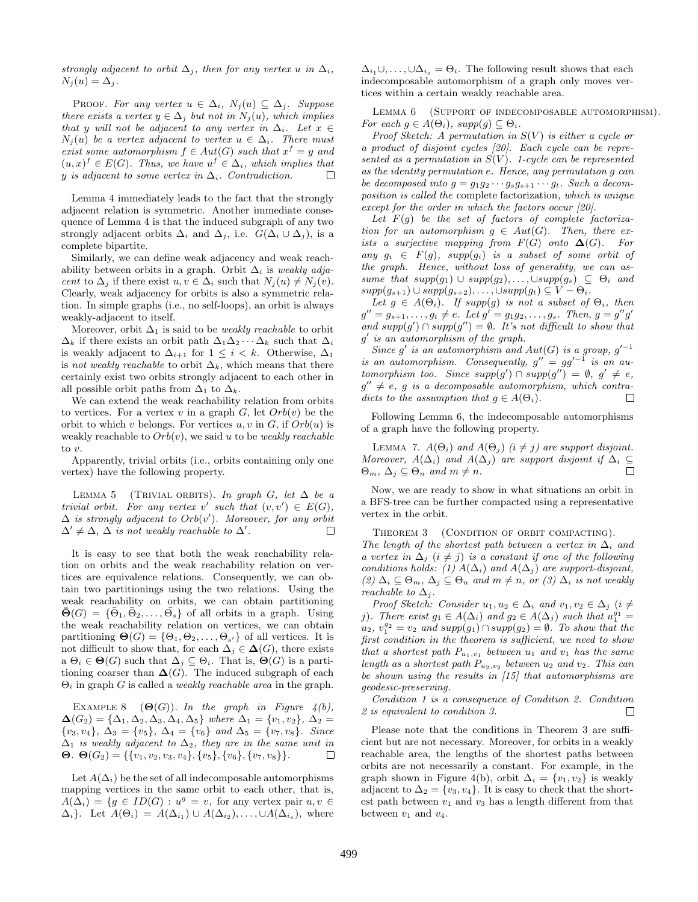strongly adjacent to orbit  $\Delta_i$ , then for any vertex u in  $\Delta_i$ ,  $N_i(u) = \Delta_i$ .

PROOF. For any vertex  $u \in \Delta_i$ ,  $N_j(u) \subseteq \Delta_j$ . Suppose there exists a vertex  $y \in \Delta_j$  but not in  $N_j(u)$ , which implies that y will not be adjacent to any vertex in  $\Delta_i$ . Let  $x \in$  $N_i(u)$  be a vertex adjacent to vertex  $u \in \Delta_i$ . There must exist some automorphism  $f \in Aut(G)$  such that  $x^f = y$  and  $(u, x)^f \in E(G)$ . Thus, we have  $u^f \in \Delta_i$ , which implies that y is adjacent to some vertex in  $\Delta_i$ . Contradiction.  $\Box$ 

Lemma 4 immediately leads to the fact that the strongly adjacent relation is symmetric. Another immediate consequence of Lemma 4 is that the induced subgraph of any two strongly adjacent orbits  $\Delta_i$  and  $\Delta_j$ , i.e.  $G(\Delta_i \cup \Delta_j)$ , is a complete bipartite.

Similarly, we can define weak adjacency and weak reachability between orbits in a graph. Orbit  $\Delta_i$  is weakly adjacent to  $\Delta_j$  if there exist  $u, v \in \Delta_i$  such that  $N_j(u) \neq N_j(v)$ . Clearly, weak adjacency for orbits is also a symmetric relation. In simple graphs (i.e., no self-loops), an orbit is always weakly-adjacent to itself.

Moreover, orbit  $\Delta_1$  is said to be *weakly reachable* to orbit  $\Delta_k$  if there exists an orbit path  $\Delta_1\Delta_2\cdots\Delta_k$  such that  $\Delta_i$ is weakly adjacent to  $\Delta_{i+1}$  for  $1 \leq i \leq k$ . Otherwise,  $\Delta_1$ is not weakly reachable to orbit  $\Delta_k$ , which means that there certainly exist two orbits strongly adjacent to each other in all possible orbit paths from  $\Delta_1$  to  $\Delta_k$ .

We can extend the weak reachability relation from orbits to vertices. For a vertex v in a graph  $G$ , let  $Orb(v)$  be the orbit to which v belongs. For vertices  $u, v$  in  $G$ , if  $Orb(u)$  is weakly reachable to  $Orb(v)$ , we said u to be weakly reachable to  $v$ .

Apparently, trivial orbits (i.e., orbits containing only one vertex) have the following property.

LEMMA 5 (TRIVIAL ORBITS). In graph G, let  $\Delta$  be a trivial orbit. For any vertex v' such that  $(v, v') \in E(G)$ ,  $\Delta$  is strongly adjacent to  $Orb(v')$ . Moreover, for any orbit  $\Delta' \neq \Delta$ ,  $\Delta$  is not weakly reachable to  $\Delta'$ .  $\Box$ 

It is easy to see that both the weak reachability relation on orbits and the weak reachability relation on vertices are equivalence relations. Consequently, we can obtain two partitionings using the two relations. Using the weak reachability on orbits, we can obtain partitioning  $\bar{\Theta}(G) = {\Theta_1, \bar{\Theta}_2, \ldots, \bar{\Theta_s}}$  of all orbits in a graph. Using the weak reachability relation on vertices, we can obtain partitioning  $\Theta(G) = \{\Theta_1, \Theta_2, \ldots, \Theta_{s'}\}$  of all vertices. It is not difficult to show that, for each  $\Delta_i \in \Delta(G)$ , there exists a  $\Theta_i \in \Theta(G)$  such that  $\Delta_j \subseteq \Theta_i$ . That is,  $\Theta(G)$  is a partitioning coarser than  $\Delta(G)$ . The induced subgraph of each  $\Theta_i$  in graph G is called a *weakly reachable area* in the graph.

EXAMPLE 8  $(\Theta(G))$ . In the graph in Figure 4(b),  $\Delta(G_2) = {\Delta_1, \Delta_2, \Delta_3, \Delta_4, \Delta_5}$  where  $\Delta_1 = \{v_1, v_2\}, \Delta_2 =$  ${v_3, v_4}, \Delta_3 = {v_5}, \Delta_4 = {v_6}$  and  $\Delta_5 = {v_7, v_8}.$  Since  $\Delta_1$  is weakly adjacent to  $\Delta_2$ , they are in the same unit in Θ. Θ $(G_2) = \{\{v_1, v_2, v_3, v_4\}, \{v_5\}, \{v_6\}, \{v_7, v_8\}\}.$  $\Box$ 

Let  $A(\Delta_i)$  be the set of all indecomposable automorphisms mapping vertices in the same orbit to each other, that is,  $A(\Delta_i) = \{g \in ID(G) : u^g = v, \text{ for any vertex pair } u, v \in$  $\Delta_i$ . Let  $A(\Theta_i) = A(\Delta_{i_1}) \cup A(\Delta_{i_2}), \ldots, \cup A(\Delta_{i_s}),$  where

 $\Delta_{i_1}\cup,\ldots,\cup\Delta_{i_s}=\Theta_i$ . The following result shows that each indecomposable automorphism of a graph only moves vertices within a certain weakly reachable area.

LEMMA 6 (SUPPORT OF INDECOMPOSABLE AUTOMORPHISM). For each  $g \in A(\Theta_i)$ ,  $supp(g) \subseteq \Theta_i$ .

Proof Sketch: A permutation in  $S(V)$  is either a cycle or a product of disjoint cycles [20]. Each cycle can be represented as a permutation in  $S(V)$ . 1-cycle can be represented as the identity permutation e. Hence, any permutation g can be decomposed into  $g = g_1g_2\cdots g_sg_{s+1}\cdots g_t$ . Such a decomposition is called the complete factorization, which is unique except for the order in which the factors occur [20].

Let  $F(g)$  be the set of factors of complete factorization for an automorphism  $g \in Aut(G)$ . Then, there exists a surjective mapping from  $F(G)$  onto  $\Delta(G)$ . For any  $g_i \in F(g)$ , supp $(g_i)$  is a subset of some orbit of the graph. Hence, without loss of generality, we can assume that  $supp(g_1) \cup supp(g_2), \ldots, \cup supp(g_s) \subseteq \Theta_i$  and  $supp(g_{s+1}) \cup supp(g_{s+2}), \ldots, \cup supp(g_t) \subseteq V - \Theta_i.$ 

Let  $g \in A(\Theta_i)$ . If supp(g) is not a subset of  $\Theta_i$ , then  $g'' = g_{s+1}, \ldots, g_t \neq e$ . Let  $g' = g_1 g_2, \ldots, g_s$ . Then,  $g = g'' g'$ and  $supp(g') \cap supp(g'') = \emptyset$ . It's not difficult to show that g 0 is an automorphism of the graph.

Since g' is an automorphism and  $Aut(G)$  is a group,  $g'^{-1}$ is an automorphism. Consequently,  $g'' = gg'^{-1}$  is an automorphism too. Since  $supp(g') \cap supp(g'') = \emptyset, g' \neq e$ ,  $g'' \neq e$ , g is a decomposable automorphism, which contradicts to the assumption that  $g \in A(\Theta_i)$ . Л

Following Lemma 6, the indecomposable automorphisms of a graph have the following property.

LEMMA 7.  $A(\Theta_i)$  and  $A(\Theta_j)$  (i  $\neq j$ ) are support disjoint. Moreover,  $A(\Delta_i)$  and  $A(\Delta_j)$  are support disjoint if  $\Delta_i \subseteq$  $\Box$  $\Theta_m$ ,  $\Delta_i \subseteq \Theta_n$  and  $m \neq n$ .

Now, we are ready to show in what situations an orbit in a BFS-tree can be further compacted using a representative vertex in the orbit.

THEOREM 3 (CONDITION OF ORBIT COMPACTING).

The length of the shortest path between a vertex in  $\Delta_i$  and a vertex in  $\Delta_i$  (i  $\neq j$ ) is a constant if one of the following conditions holds: (1)  $A(\Delta_i)$  and  $A(\Delta_j)$  are support-disjoint, (2)  $\Delta_i \subseteq \Theta_m$ ,  $\Delta_j \subseteq \Theta_n$  and  $m \neq n$ , or (3)  $\Delta_i$  is not weakly reachable to  $\Delta_i$ .

Proof Sketch: Consider  $u_1, u_2 \in \Delta_i$  and  $v_1, v_2 \in \Delta_j$  (i  $\neq$ j). There exist  $g_1 \in A(\Delta_i)$  and  $g_2 \in A(\Delta_j)$  such that  $u_1^{g_1} =$  $u_2, v_1^{g_2} = v_2$  and  $supp(g_1) \cap supp(g_2) = \emptyset$ . To show that the first condition in the theorem is sufficient, we need to show that a shortest path  $P_{u_1,v_1}$  between  $u_1$  and  $v_1$  has the same length as a shortest path  $P_{u_2,v_2}$  between  $u_2$  and  $v_2$ . This can be shown using the results in [15] that automorphisms are geodesic-preserving.

Condition 1 is a consequence of Condition 2. Condition 2 is equivalent to condition 3.  $\Box$ 

Please note that the conditions in Theorem 3 are sufficient but are not necessary. Moreover, for orbits in a weakly reachable area, the lengths of the shortest paths between orbits are not necessarily a constant. For example, in the graph shown in Figure 4(b), orbit  $\Delta_i = \{v_1, v_2\}$  is weakly adjacent to  $\Delta_2 = \{v_3, v_4\}$ . It is easy to check that the shortest path between  $v_1$  and  $v_3$  has a length different from that between  $v_1$  and  $v_4$ .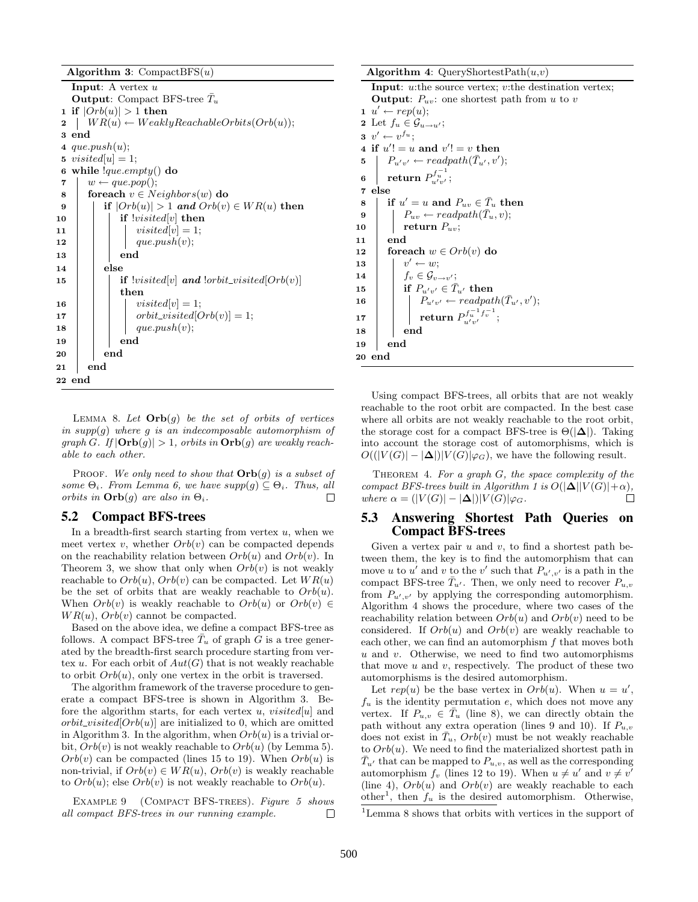Algorithm 3: CompactBFS $(u)$ 

**Input:** A vertex  $u$ **Output:** Compact BFS-tree  $\bar{T}_u$ 1 if  $|Orb(u)| > 1$  then 2  $W R(u) \leftarrow WeaklyReachableOrbits(Orb(u));$ 3 end 4 que.push $(u)$ ; 5 *visited*[ $u$ ] = 1; 6 while  $_{\text{que.empty}}()$  do  $7 \mid w \leftarrow que.pop();$ 8 foreach  $v \in Neighbors(w)$  do 9 if  $|Orb(u)| > 1$  and  $Orb(v) \in WR(u)$  then 10 | | if  $|visited[v]$  then 11 | | |  $visited[v] = 1;$ 12 | | |  $que.push(v);$ 13 | | end  $14$  else 15 **if**  $|visited[v]$  and  $|orbit\_visited[Orb(v)]$ then 16 | | |  $visited[v] = 1;$ 17 | | |  $orbit\_visited[Orb(v)] = 1;$ 18 | | |  $que.push(v);$ 19 | | end 20 | end 21 end 22 end

LEMMA 8. Let  $Orb(g)$  be the set of orbits of vertices in  $supp(g)$  where g is an indecomposable automorphism of  $graph G.$  If  $|\text{Orb}(g)| > 1$ , orbits in  $\text{Orb}(g)$  are weakly reachable to each other.

PROOF. We only need to show that  $\text{Orb}(q)$  is a subset of some  $\Theta_i$ . From Lemma 6, we have  $supp(q) \subseteq \Theta_i$ . Thus, all orbits in  $\text{Orb}(g)$  are also in  $\Theta_i$ .  $\Box$ 

#### 5.2 Compact BFS-trees

In a breadth-first search starting from vertex  $u$ , when we meet vertex v, whether  $Orb(v)$  can be compacted depends on the reachability relation between  $Orb(u)$  and  $Orb(v)$ . In Theorem 3, we show that only when  $Orb(v)$  is not weakly reachable to  $Orb(u)$ ,  $Orb(v)$  can be compacted. Let  $WR(u)$ be the set of orbits that are weakly reachable to  $Orb(u)$ . When  $Orb(v)$  is weakly reachable to  $Orb(u)$  or  $Orb(v) \in$  $WR(u)$ ,  $Orb(v)$  cannot be compacted.

Based on the above idea, we define a compact BFS-tree as follows. A compact BFS-tree  $T_u$  of graph G is a tree generated by the breadth-first search procedure starting from vertex u. For each orbit of  $Aut(G)$  that is not weakly reachable to orbit  $Orb(u)$ , only one vertex in the orbit is traversed.

The algorithm framework of the traverse procedure to generate a compact BFS-tree is shown in Algorithm 3. Before the algorithm starts, for each vertex  $u$ ,  $visited[u]$  and  $orbit\_visited[Orb(u)]$  are initialized to 0, which are omitted in Algorithm 3. In the algorithm, when  $Orb(u)$  is a trivial orbit,  $Orb(v)$  is not weakly reachable to  $Orb(u)$  (by Lemma 5).  $Orb(v)$  can be compacted (lines 15 to 19). When  $Orb(u)$  is non-trivial, if  $Orb(v) \in WR(u)$ ,  $Orb(v)$  is weakly reachable to  $Orb(u)$ ; else  $Orb(v)$  is not weakly reachable to  $Orb(u)$ .

EXAMPLE 9 (COMPACT BFS-TREES). Figure 5 shows all compact BFS-trees in our running example.  $\Box$ 

Algorithm 4: QueryShortestPath $(u,v)$ Input: u:the source vertex; v:the destination vertex; **Output:**  $P_{uv}$ : one shortest path from u to v  $u' \leftarrow rep(u);$ 2 Let  $f_u \in \mathcal{G}_{u \to u'}$ ;  $v' \leftarrow v^{f_u};$ 4 if  $u' = u$  and  $v' = v$  then 5  $\mid P_{u'v'} \leftarrow \text{readpath}(\bar{T}_{u'}, v');$  $\begin{array}{|c|c|}\ \text{s}} & \text{return } P_{u'v'}^{f^{-1}}; \end{array}$ 7 else 8 if  $u' = u$  and  $P_{uv} \in \overline{T}_u$  then 8 if  $u' = u$  and  $P_{uv} \in T_u$  the<br>9  $P_{uv} \leftarrow readpath(\bar{T}_u, v);$ 10 **return**  $P_{uv}$ ; 11 end 12 foreach  $w \in Orb(v)$  do 13  $\vert v' \leftarrow w;$ 14  $\vert \qquad \vert f_v \in \mathcal{G}_{v \to v'};$ 15 if  $P_{u'v'} \in \overline{T}_{u'}$  then Pu0v<sup>0</sup> ← readpath(T¯ <sup>u</sup><sup>0</sup> , v 0 16 );  $\begin{array}{|c|c|} \hline \text{17} & \text{return } P_{u'v'}^{f_u^{-1}f_v^{-1}}; \hline \end{array}$ 18 end 19 end 20 end

Using compact BFS-trees, all orbits that are not weakly reachable to the root orbit are compacted. In the best case where all orbits are not weakly reachable to the root orbit, the storage cost for a compact BFS-tree is  $\Theta(|\Delta|)$ . Taking into account the storage cost of automorphisms, which is  $O((|V(G)| - |\Delta|)|V(G)|\varphi_G)$ , we have the following result.

THEOREM 4. For a graph  $G$ , the space complexity of the compact BFS-trees built in Algorithm 1 is  $O(|\Delta||V(G)|+\alpha)$ , where  $\alpha = (|V(G)| - |\Delta|)|V(G)|\varphi_G$ . П

## 5.3 Answering Shortest Path Queries on Compact BFS-trees

Given a vertex pair  $u$  and  $v$ , to find a shortest path between them, the key is to find the automorphism that can move u to u' and v to the v' such that  $P_{u',v'}$  is a path in the compact BFS-tree  $\bar{T}_{u'}$ . Then, we only need to recover  $P_{u,v}$ from  $P_{u',v'}$  by applying the corresponding automorphism. Algorithm 4 shows the procedure, where two cases of the reachability relation between  $Orb(u)$  and  $Orb(v)$  need to be considered. If  $Orb(u)$  and  $Orb(v)$  are weakly reachable to each other, we can find an automorphism  $f$  that moves both  $u$  and  $v$ . Otherwise, we need to find two automorphisms that move  $u$  and  $v$ , respectively. The product of these two automorphisms is the desired automorphism.

Let  $rep(u)$  be the base vertex in  $Orb(u)$ . When  $u = u'$ ,  $f_u$  is the identity permutation  $e$ , which does not move any vertex. If  $P_{u,v} \in \overline{T}_u$  (line 8), we can directly obtain the path without any extra operation (lines 9 and 10). If  $P_{u,v}$ does not exist in  $\bar{T}_u$ ,  $Orb(v)$  must be not weakly reachable to  $Orb(u)$ . We need to find the materialized shortest path in  $\overline{T}_{u'}$  that can be mapped to  $P_{u,v}$ , as well as the corresponding automorphism  $f_v$  (lines 12 to 19). When  $u \neq u'$  and  $v \neq v'$ (line 4),  $Orb(u)$  and  $Orb(v)$  are weakly reachable to each other<sup>1</sup>, then  $f_u$  is the desired automorphism. Otherwise,

<sup>1</sup>Lemma 8 shows that orbits with vertices in the support of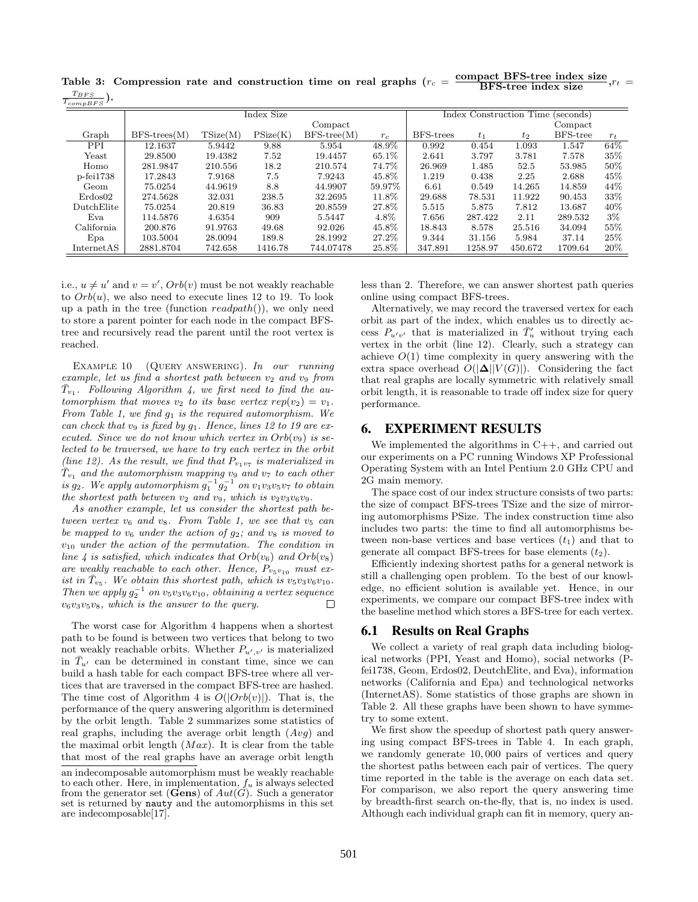Table 3: Compression rate and construction time on real graphs  $(r_c = \frac{\text{compact BFS-tree index size}}{\text{BFS-tree index size}}, r_t =$  $T_{BFS}$ ).

| $T_{compBFS}$ ''  |                    |          |          |               |        |           |                                      |         |          |        |  |  |
|-------------------|--------------------|----------|----------|---------------|--------|-----------|--------------------------------------|---------|----------|--------|--|--|
|                   | Index Size         |          |          |               |        |           | Index Construction Time<br>(seconds) |         |          |        |  |  |
|                   | Compact            |          |          |               |        | Compact   |                                      |         |          |        |  |  |
| Graph             | $BFS$ -trees $(M)$ | TSize(M) | PSize(K) | $BFS-tree(M)$ | $r_c$  | BFS-trees | $t_{1}$                              | $t_2$   | BFS-tree | $r_t$  |  |  |
| $\overline{PPI}$  | 12.1637            | 5.9442   | 9.88     | 5.954         | 48.9%  | 0.992     | 0.454                                | 1.093   | 1.547    | 64%    |  |  |
| Yeast             | 29.8500            | 19.4382  | 7.52     | 19.4457       | 65.1\% | 2.641     | 3.797                                | 3.781   | 7.578    | 35%    |  |  |
| Homo              | 281.9847           | 210.556  | 18.2     | 210.574       | 74.7%  | 26.969    | 1.485                                | 52.5    | 53.985   | 50%    |  |  |
| $p$ -fei $1738$   | 17.2843            | 7.9168   | 7.5      | 7.9243        | 45.8%  | 1.219     | 0.438                                | 2.25    | 2.688    | 45\%   |  |  |
| Geom              | 75.0254            | 44.9619  | 8.8      | 44.9907       | 59.97% | 6.61      | 0.549                                | 14.265  | 14.859   | 44\%   |  |  |
| Erdos02           | 274.5628           | 32.031   | 238.5    | 32.2695       | 11.8%  | 29.688    | 78.531                               | 11.922  | 90.453   | 33%    |  |  |
| <b>DutchElite</b> | 75.0254            | 20.819   | 36.83    | 20.8559       | 27.8%  | 5.515     | 5.875                                | 7.812   | 13.687   | $40\%$ |  |  |
| Eva               | 114.5876           | 4.6354   | 909      | 5.5447        | 4.8%   | 7.656     | 287.422                              | 2.11    | 289.532  | $3\%$  |  |  |
| California        | 200.876            | 91.9763  | 49.68    | 92.026        | 45.8%  | 18.843    | 8.578                                | 25.516  | 34.094   | $55\%$ |  |  |
| Epa               | 103.5004           | 28.0094  | 189.8    | 28.1992       | 27.2%  | 9.344     | 31.156                               | 5.984   | 37.14    | 25\%   |  |  |
| InternetAS        | 2881.8704          | 742.658  | 1416.78  | 744.07478     | 25.8%  | 347.891   | 1258.97                              | 450.672 | 1709.64  | $20\%$ |  |  |

i.e.,  $u \neq u'$  and  $v = v'$ ,  $Orb(v)$  must be not weakly reachable to  $Orb(u)$ , we also need to execute lines 12 to 19. To look up a path in the tree (function  $readpath()$ ), we only need to store a parent pointer for each node in the compact BFStree and recursively read the parent until the root vertex is reached.

EXAMPLE 10 (QUERY ANSWERING). In our running example, let us find a shortest path between  $v_2$  and  $v_9$  from  $\overline{T}_{v_1}$ . Following Algorithm 4, we first need to find the automorphism that moves  $v_2$  to its base vertex  $rep(v_2) = v_1$ . From Table 1, we find  $g_1$  is the required automorphism. We can check that  $v_9$  is fixed by  $g_1$ . Hence, lines 12 to 19 are executed. Since we do not know which vertex in  $Orb(v<sub>9</sub>)$  is selected to be traversed, we have to try each vertex in the orbit (line 12). As the result, we find that  $P_{v_1v_7}$  is materialized in  $\bar{T}_{v_1}$  and the automorphism mapping v<sub>9</sub> and v<sub>7</sub> to each other is  $g_2$ . We apply automorphism  $g_1^{-1}g_2^{-1}$  on  $v_1v_3v_5v_7$  to obtain the shortest path between  $v_2$  and  $v_9$ , which is  $v_2v_3v_6v_9$ .

As another example, let us consider the shortest path between vertex  $v_6$  and  $v_8$ . From Table 1, we see that  $v_5$  can be mapped to  $v_6$  under the action of  $g_2$ ; and  $v_8$  is moved to  $v_{10}$  under the action of the permutation. The condition in line 4 is satisfied, which indicates that  $Orb(v_6)$  and  $Orb(v_8)$ are weakly reachable to each other. Hence,  $P_{v_5v_{10}}$  must exist in  $\bar{T}_{v_5}$ . We obtain this shortest path, which is  $v_5v_3v_6v_{10}$ . Then we apply  $g_2^{-1}$  on  $v_5v_3v_6v_{10}$ , obtaining a vertex sequence  $v_6v_3v_5v_8$ , which is the answer to the query.  $\Box$ 

The worst case for Algorithm 4 happens when a shortest path to be found is between two vertices that belong to two not weakly reachable orbits. Whether  $P_{u',v'}$  is materialized in  $\bar{T}_{u'}$  can be determined in constant time, since we can build a hash table for each compact BFS-tree where all vertices that are traversed in the compact BFS-tree are hashed. The time cost of Algorithm 4 is  $O(|Orb(v)|)$ . That is, the performance of the query answering algorithm is determined by the orbit length. Table 2 summarizes some statistics of real graphs, including the average orbit length  $(Avg)$  and the maximal orbit length  $(Max)$ . It is clear from the table that most of the real graphs have an average orbit length less than 2. Therefore, we can answer shortest path queries online using compact BFS-trees.

Alternatively, we may record the traversed vertex for each orbit as part of the index, which enables us to directly access  $P_{u'v'}$  that is materialized in  $\bar{T}'_u$  without trying each vertex in the orbit (line 12). Clearly, such a strategy can achieve  $O(1)$  time complexity in query answering with the extra space overhead  $O(|\mathbf{\Delta}||V(G)|)$ . Considering the fact that real graphs are locally symmetric with relatively small orbit length, it is reasonable to trade off index size for query performance.

# 6. EXPERIMENT RESULTS

We implemented the algorithms in  $C++$ , and carried out our experiments on a PC running Windows XP Professional Operating System with an Intel Pentium 2.0 GHz CPU and 2G main memory.

The space cost of our index structure consists of two parts: the size of compact BFS-trees TSize and the size of mirroring automorphisms PSize. The index construction time also includes two parts: the time to find all automorphisms between non-base vertices and base vertices  $(t_1)$  and that to generate all compact BFS-trees for base elements  $(t_2)$ .

Efficiently indexing shortest paths for a general network is still a challenging open problem. To the best of our knowledge, no efficient solution is available yet. Hence, in our experiments, we compare our compact BFS-tree index with the baseline method which stores a BFS-tree for each vertex.

#### 6.1 Results on Real Graphs

We collect a variety of real graph data including biological networks (PPI, Yeast and Homo), social networks (Pfei1738, Geom, Erdos02, DeutchElite, and Eva), information networks (California and Epa) and technological networks (InternetAS). Some statistics of those graphs are shown in Table 2. All these graphs have been shown to have symmetry to some extent.

We first show the speedup of shortest path query answering using compact BFS-trees in Table 4. In each graph, we randomly generate 10, 000 pairs of vertices and query the shortest paths between each pair of vertices. The query time reported in the table is the average on each data set. For comparison, we also report the query answering time by breadth-first search on-the-fly, that is, no index is used. Although each individual graph can fit in memory, query an-

an indecomposable automorphism must be weakly reachable to each other. Here, in implementation,  $f_u$  is always selected from the generator set (**Gens**) of  $Aut(G)$ . Such a generator set is returned by nauty and the automorphisms in this set are indecomposable[17].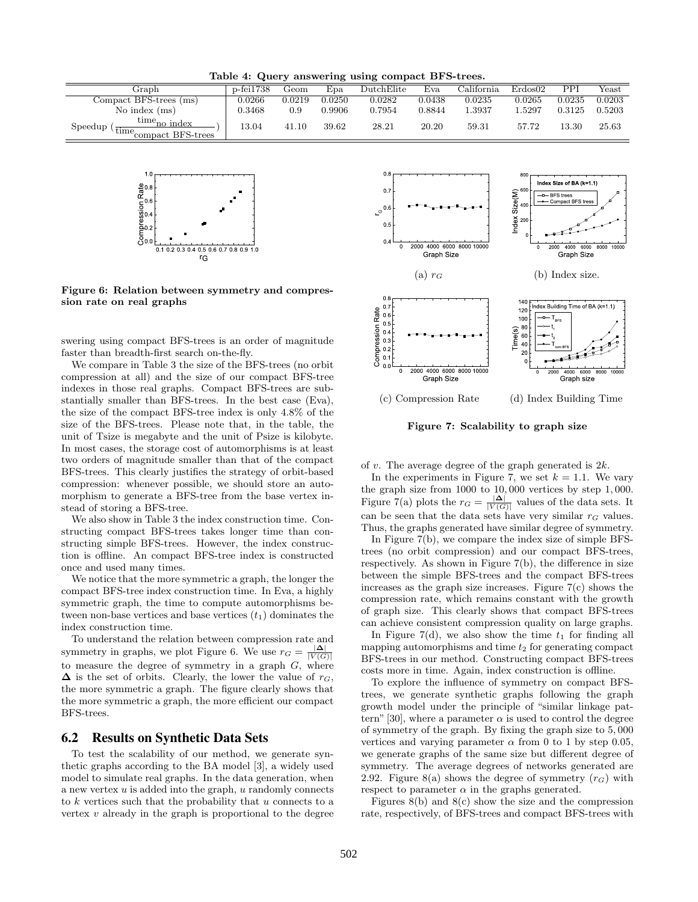Table 4: Query answering using compact BFS-trees.

| Graph                                                             | $p$ -fei $1738$ | Geom   | $_{\rm Epa}$ | DutchElite | Eva    | California | Erdos02 | PPI    | Yeast  |
|-------------------------------------------------------------------|-----------------|--------|--------------|------------|--------|------------|---------|--------|--------|
| Compact BFS-trees (ms)                                            | 0.0266          | 0.0219 | 0.0250       | 0.0282     | 0.0438 | 0.0235     | 0.0265  | 0.0235 | 0.0203 |
| No index $(ms)$                                                   | 0.3468          | 0.9    | 0.9906       | 0.7954     | 0.8844 | .3937      | .5297   | 0.3125 | 0.5203 |
| $time_{no}$ index<br>Speedup<br>time <sub>compact</sub> BFS-trees | 13.04           | 41.10  | 39.62        | 28.21      | 20.20  | 59.31      | 57.72   | 13.30  | 25.63  |



Figure 6: Relation between symmetry and compression rate on real graphs

swering using compact BFS-trees is an order of magnitude faster than breadth-first search on-the-fly.

We compare in Table 3 the size of the BFS-trees (no orbit compression at all) and the size of our compact BFS-tree indexes in those real graphs. Compact BFS-trees are substantially smaller than BFS-trees. In the best case (Eva), the size of the compact BFS-tree index is only 4.8% of the size of the BFS-trees. Please note that, in the table, the unit of Tsize is megabyte and the unit of Psize is kilobyte. In most cases, the storage cost of automorphisms is at least two orders of magnitude smaller than that of the compact BFS-trees. This clearly justifies the strategy of orbit-based compression: whenever possible, we should store an automorphism to generate a BFS-tree from the base vertex instead of storing a BFS-tree.

We also show in Table 3 the index construction time. Constructing compact BFS-trees takes longer time than constructing simple BFS-trees. However, the index construction is offline. An compact BFS-tree index is constructed once and used many times.

We notice that the more symmetric a graph, the longer the compact BFS-tree index construction time. In Eva, a highly symmetric graph, the time to compute automorphisms between non-base vertices and base vertices  $(t_1)$  dominates the index construction time.

To understand the relation between compression rate and symmetry in graphs, we plot Figure 6. We use  $r_G = \frac{|\Delta|}{|V(G)|}$ to measure the degree of symmetry in a graph  $G$ , where  $\Delta$  is the set of orbits. Clearly, the lower the value of  $r_G$ , the more symmetric a graph. The figure clearly shows that the more symmetric a graph, the more efficient our compact BFS-trees.

#### 6.2 Results on Synthetic Data Sets

To test the scalability of our method, we generate synthetic graphs according to the BA model [3], a widely used model to simulate real graphs. In the data generation, when a new vertex  $u$  is added into the graph,  $u$  randomly connects to k vertices such that the probability that u connects to a vertex  $v$  already in the graph is proportional to the degree



Figure 7: Scalability to graph size

of v. The average degree of the graph generated is  $2k$ .

In the experiments in Figure 7, we set  $k = 1.1$ . We vary the graph size from 1000 to 10, 000 vertices by step 1, 000. Figure 7(a) plots the  $r_G = \frac{|\Delta|}{|V(G)|}$  values of the data sets. It can be seen that the data sets have very similar  $r_G$  values. Thus, the graphs generated have similar degree of symmetry.

In Figure 7(b), we compare the index size of simple BFStrees (no orbit compression) and our compact BFS-trees, respectively. As shown in Figure 7(b), the difference in size between the simple BFS-trees and the compact BFS-trees increases as the graph size increases. Figure  $7(c)$  shows the compression rate, which remains constant with the growth of graph size. This clearly shows that compact BFS-trees can achieve consistent compression quality on large graphs.

In Figure 7(d), we also show the time  $t_1$  for finding all mapping automorphisms and time  $t_2$  for generating compact BFS-trees in our method. Constructing compact BFS-trees costs more in time. Again, index construction is offline.

To explore the influence of symmetry on compact BFStrees, we generate synthetic graphs following the graph growth model under the principle of "similar linkage pattern" [30], where a parameter  $\alpha$  is used to control the degree of symmetry of the graph. By fixing the graph size to 5, 000 vertices and varying parameter  $\alpha$  from 0 to 1 by step 0.05, we generate graphs of the same size but different degree of symmetry. The average degrees of networks generated are 2.92. Figure 8(a) shows the degree of symmetry  $(r_G)$  with respect to parameter  $\alpha$  in the graphs generated.

Figures  $8(b)$  and  $8(c)$  show the size and the compression rate, respectively, of BFS-trees and compact BFS-trees with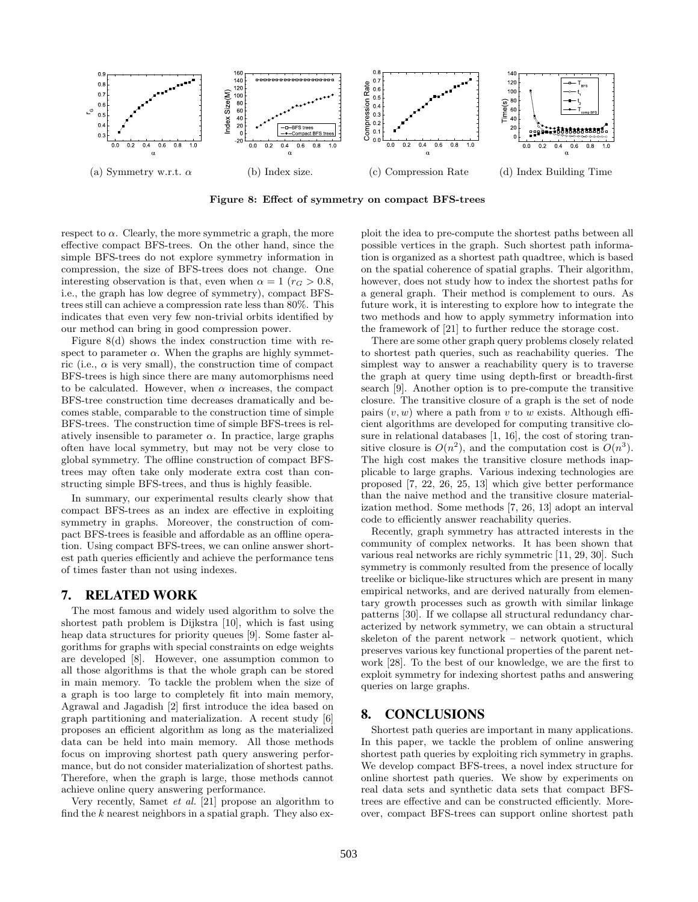

Figure 8: Effect of symmetry on compact BFS-trees

respect to  $\alpha$ . Clearly, the more symmetric a graph, the more effective compact BFS-trees. On the other hand, since the simple BFS-trees do not explore symmetry information in compression, the size of BFS-trees does not change. One interesting observation is that, even when  $\alpha = 1$  ( $r_G > 0.8$ , i.e., the graph has low degree of symmetry), compact BFStrees still can achieve a compression rate less than 80%. This indicates that even very few non-trivial orbits identified by our method can bring in good compression power.

Figure 8(d) shows the index construction time with respect to parameter  $\alpha$ . When the graphs are highly symmetric (i.e.,  $\alpha$  is very small), the construction time of compact BFS-trees is high since there are many automorphisms need to be calculated. However, when  $\alpha$  increases, the compact BFS-tree construction time decreases dramatically and becomes stable, comparable to the construction time of simple BFS-trees. The construction time of simple BFS-trees is relatively insensible to parameter  $\alpha$ . In practice, large graphs often have local symmetry, but may not be very close to global symmetry. The offline construction of compact BFStrees may often take only moderate extra cost than constructing simple BFS-trees, and thus is highly feasible.

In summary, our experimental results clearly show that compact BFS-trees as an index are effective in exploiting symmetry in graphs. Moreover, the construction of compact BFS-trees is feasible and affordable as an offline operation. Using compact BFS-trees, we can online answer shortest path queries efficiently and achieve the performance tens of times faster than not using indexes.

## 7. RELATED WORK

The most famous and widely used algorithm to solve the shortest path problem is Dijkstra [10], which is fast using heap data structures for priority queues [9]. Some faster algorithms for graphs with special constraints on edge weights are developed [8]. However, one assumption common to all those algorithms is that the whole graph can be stored in main memory. To tackle the problem when the size of a graph is too large to completely fit into main memory, Agrawal and Jagadish [2] first introduce the idea based on graph partitioning and materialization. A recent study [6] proposes an efficient algorithm as long as the materialized data can be held into main memory. All those methods focus on improving shortest path query answering performance, but do not consider materialization of shortest paths. Therefore, when the graph is large, those methods cannot achieve online query answering performance.

Very recently, Samet et al. [21] propose an algorithm to find the  $k$  nearest neighbors in a spatial graph. They also exploit the idea to pre-compute the shortest paths between all possible vertices in the graph. Such shortest path information is organized as a shortest path quadtree, which is based on the spatial coherence of spatial graphs. Their algorithm, however, does not study how to index the shortest paths for a general graph. Their method is complement to ours. As future work, it is interesting to explore how to integrate the two methods and how to apply symmetry information into the framework of [21] to further reduce the storage cost.

There are some other graph query problems closely related to shortest path queries, such as reachability queries. The simplest way to answer a reachability query is to traverse the graph at query time using depth-first or breadth-first search [9]. Another option is to pre-compute the transitive closure. The transitive closure of a graph is the set of node pairs  $(v, w)$  where a path from v to w exists. Although efficient algorithms are developed for computing transitive closure in relational databases [1, 16], the cost of storing transitive closure is  $O(n^2)$ , and the computation cost is  $O(n^3)$ . The high cost makes the transitive closure methods inapplicable to large graphs. Various indexing technologies are proposed [7, 22, 26, 25, 13] which give better performance than the naive method and the transitive closure materialization method. Some methods [7, 26, 13] adopt an interval code to efficiently answer reachability queries.

Recently, graph symmetry has attracted interests in the community of complex networks. It has been shown that various real networks are richly symmetric [11, 29, 30]. Such symmetry is commonly resulted from the presence of locally treelike or biclique-like structures which are present in many empirical networks, and are derived naturally from elementary growth processes such as growth with similar linkage patterns [30]. If we collapse all structural redundancy characterized by network symmetry, we can obtain a structural skeleton of the parent network – network quotient, which preserves various key functional properties of the parent network [28]. To the best of our knowledge, we are the first to exploit symmetry for indexing shortest paths and answering queries on large graphs.

## 8. CONCLUSIONS

Shortest path queries are important in many applications. In this paper, we tackle the problem of online answering shortest path queries by exploiting rich symmetry in graphs. We develop compact BFS-trees, a novel index structure for online shortest path queries. We show by experiments on real data sets and synthetic data sets that compact BFStrees are effective and can be constructed efficiently. Moreover, compact BFS-trees can support online shortest path